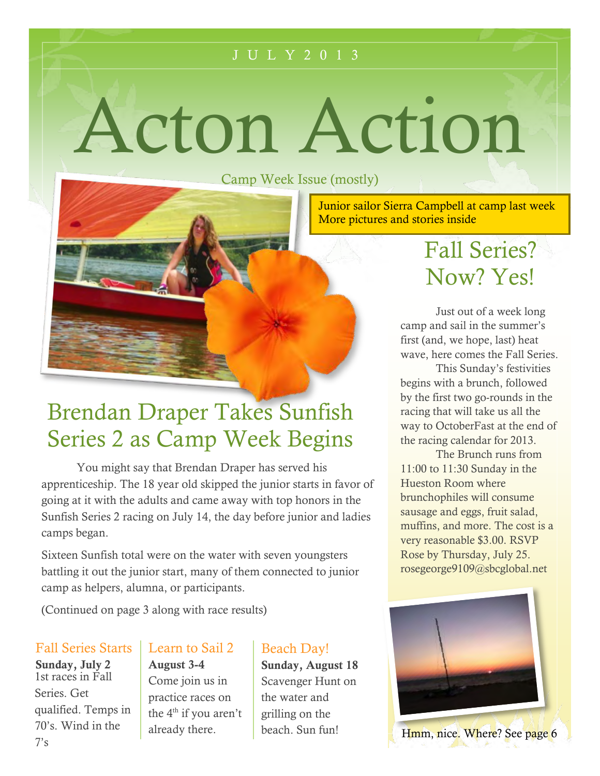#### J U L Y 2 0 1 3

Acton Action

Camp Week Issue (mostly)

Junior sailor Sierra Campbell at camp last week More pictures and stories inside

## Brendan Draper Takes Sunfish Series 2 as Camp Week Begins

You might say that Brendan Draper has served his apprenticeship. The 18 year old skipped the junior starts in favor of going at it with the adults and came away with top honors in the Sunfish Series 2 racing on July 14, the day before junior and ladies camps began.

Sixteen Sunfish total were on the water with seven Sixteen Sunfish total were on the water with seven youngsters battling it out the junior start, many of them connected to junior camp as helpers, alumna, or participants.

(Continued on page 3 along with race results)

### Fall Series Starts

**Sunday, July 2** 1st races in Fall Series. Get qualified. Temps in 70's. Wind in the  $7's$ 

### Learn to Sail 2

**August 3-4** Come join us in practice races on the  $4<sup>th</sup>$  if you aren't already there.

### Beach Day!

**Sunday, August 18** Scavenger Hunt on the water and grilling on the beach. Sun fun!

## Fall Series? Now? Yes!

Just out of a week long camp and sail in the summer's first (and, we hope, last) heat wave, here comes the Fall Series.

This Sunday's festivities begins with a brunch, followed by the first two go-rounds in the racing that will take us all the way to OctoberFast at the end of the racing calendar for 2013.

The Brunch runs from 11:00 to 11:30 Sunday in the Hueston Room where brunchophiles will consume sausage and eggs, fruit salad, muffins, and more. The cost is a very reasonable \$3.00. RSVP Rose by Thursday, July 25. rosegeorge9109@sbcglobal.net

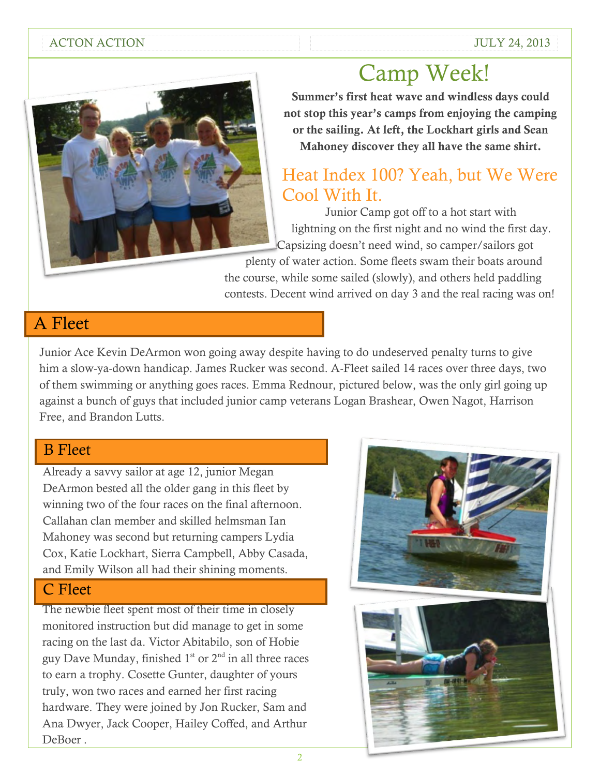#### ACTON ACTION ACTION ACTION



**Summer's first heat wave and windless days could not stop this year's camps from enjoying the camping or the sailing. At left, the Lockhart girls and Sean Mahoney discover they all have the same shirt.**

### Heat Index 100? Yeah, but We Were Cool With It.

Junior Camp got off to a hot start with lightning on the first night and no wind the first day. Capsizing doesn't need wind, so camper/sailors got

plenty of water action. Some fleets swam their boats around the course, while some sailed (slowly), and others held paddling contests. Decent wind arrived on day 3 and the real racing was on!

### A Fleet

Junior Ace Kevin DeArmon won going away despite having to do undeserved penalty turns to give him a slow-ya-down handicap. James Rucker was second. A-Fleet sailed 14 races over three days, two of them swimming or anything goes races. Emma Rednour, pictured below, was the only girl going up against a bunch of guys that included junior camp veterans Logan Brashear, Owen Nagot, Harrison Free, and Brandon Lutts.

### B Fleet

Already a savvy sailor at age 12, junior Megan DeArmon bested all the older gang in this fleet by winning two of the four races on the final afternoon. Callahan clan member and skilled helmsman Ian Mahoney was second but returning campers Lydia Cox, Katie Lockhart, Sierra Campbell, Abby Casada, and Emily Wilson all had their shining moments.

### C Fleet

The newbie fleet spent most of their time in closely monitored instruction but did manage to get in some racing on the last da. Victor Abitabilo, son of Hobie guy Dave Munday, finished  $1<sup>st</sup>$  or  $2<sup>nd</sup>$  in all three races to earn a trophy. Cosette Gunter, daughter of yours truly, won two races and earned her first racing hardware. They were joined by Jon Rucker, Sam and Ana Dwyer, Jack Cooper, Hailey Coffed, and Arthur DeBoer .

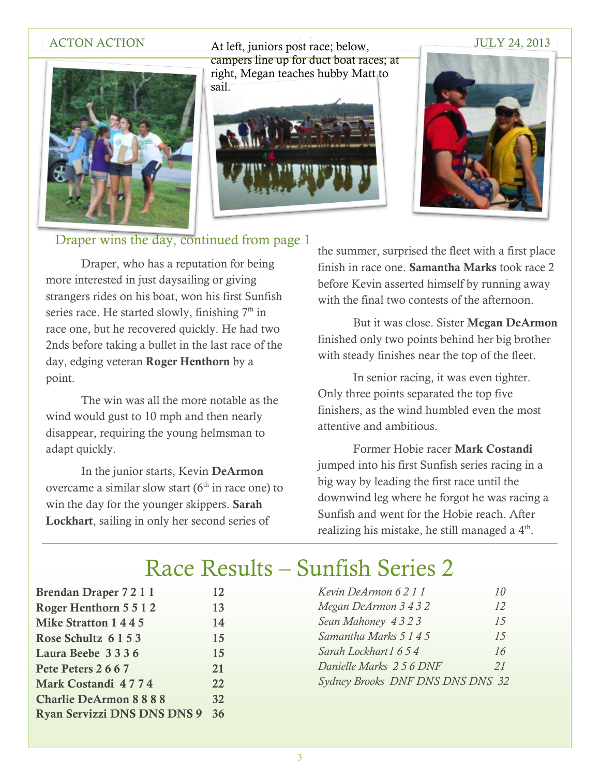

ACTON ACTION ALLEFT, juniors post race; below, JULY 24, 2013 campers line up for duct boat races; at right, Megan teaches hubby Matt to sail.





#### Draper wins the day, continued from page 1

Draper, who has a reputation for being more interested in just daysailing or giving strangers rides on his boat, won his first Sunfish series race. He started slowly, finishing  $7<sup>th</sup>$  in race one, but he recovered quickly. He had two 2nds before taking a bullet in the last race of the day, edging veteran **Roger Henthorn** by a point.

The win was all the more notable as the wind would gust to 10 mph and then nearly disappear, requiring the young helmsman to adapt quickly.

In the junior starts, Kevin **DeArmon** overcame a similar slow start  $(6<sup>th</sup>$  in race one) to win the day for the younger skippers. **Sarah Lockhart**, sailing in only her second series of

the summer, surprised the fleet with a first place finish in race one. **Samantha Marks** took race 2 before Kevin asserted himself by running away with the final two contests of the afternoon.

But it was close. Sister **Megan DeArmon** finished only two points behind her big brother with steady finishes near the top of the fleet.

In senior racing, it was even tighter. Only three points separated the top five finishers, as the wind humbled even the most attentive and ambitious.

Former Hobie racer **Mark Costandi** jumped into his first Sunfish series racing in a big way by leading the first race until the downwind leg where he forgot he was racing a Sunfish and went for the Hobie reach. After realizing his mistake, he still managed a 4<sup>th</sup>.

### Race Results – Sunfish Series 2

| Brendan Draper 7 2 1 1             | 12 |
|------------------------------------|----|
| Roger Henthorn 5 5 1 2             | 13 |
| Mike Stratton 1445                 | 14 |
| Rose Schultz 6 1 5 3               | 15 |
| Laura Beebe 3336                   | 15 |
| Pete Peters 2667                   | 21 |
| Mark Costandi 4774                 | 22 |
| <b>Charlie DeArmon 8888</b>        | 32 |
| <b>Ryan Servizzi DNS DNS DNS 9</b> | 36 |
|                                    |    |

| Kevin DeArmon 6211               | 10 |
|----------------------------------|----|
| Megan DeArmon 3 4 3 2            | 12 |
| Sean Mahoney 4323                | 15 |
| Samantha Marks 5 1 4 5           | 15 |
| Sarah Lockhart 1 6 5 4           | 16 |
| Danielle Marks 256 DNF           | 21 |
| Sydney Brooks DNF DNS DNS DNS 32 |    |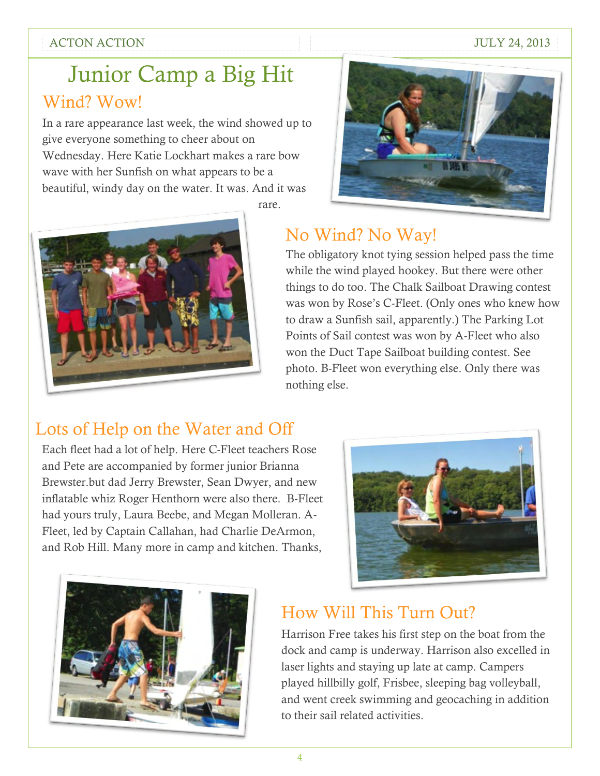#### ACTON ACTION ACTION

### Junior Camp a Big Hit Wind? Wow!

In a rare appearance last week, the wind showed up to give everyone something to cheer about on Wednesday. Here Katie Lockhart makes a rare bow wave with her Sunfish on what appears to be a beautiful, windy day on the water. It was. And it was





rare.

### No Wind? No Way!

The obligatory knot tying session helped pass the time while the wind played hookey. But there were other things to do too. The Chalk Sailboat Drawing contest was won by Rose's C-Fleet. (Only ones who knew how to draw a Sunfish sail, apparently.) The Parking Lot Points of Sail contest was won by A-Fleet who also won the Duct Tape Sailboat building contest. See photo. B-Fleet won everything else. Only there was nothing else.

### Lots of Help on the Water and Off

Each fleet had a lot of help. Here C-Fleet teachers Rose and Pete are accompanied by former junior Brianna Brewster.but dad Jerry Brewster, Sean Dwyer, and new inflatable whiz Roger Henthorn were also there. B-Fleet had yours truly, Laura Beebe, and Megan Molleran. A-Fleet, led by Captain Callahan, had Charlie DeArmon, and Rob Hill. Many more in camp and kitchen. Thanks,





### How Will This Turn Out?

Harrison Free takes his first step on the boat from the dock and camp is underway. Harrison also excelled in laser lights and staying up late at camp. Campers played hillbilly golf, Frisbee, sleeping bag volleyball, and went creek swimming and geocaching in addition to their sail related activities.

4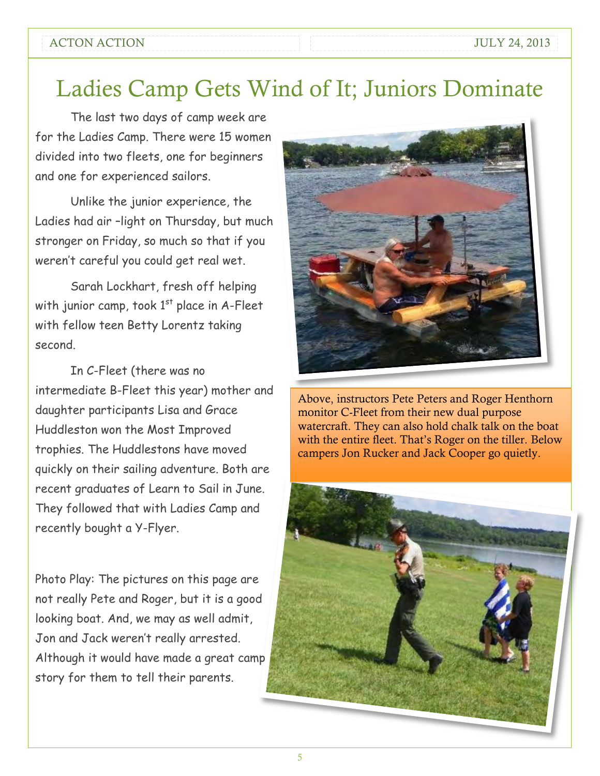#### ACTON ACTION ACTION ACTION

### Ladies Camp Gets Wind of It; Juniors Dominate

The last two days of camp week are for the Ladies Camp. There were 15 women divided into two fleets, one for beginners and one for experienced sailors.

Unlike the junior experience, the Ladies had air –light on Thursday, but much stronger on Friday, so much so that if you weren't careful you could get real wet.

Sarah Lockhart, fresh off helping with junior camp, took  $1<sup>st</sup>$  place in A-Fleet with fellow teen Betty Lorentz taking second.

In C-Fleet (there was no intermediate B-Fleet this year) mother and daughter participants Lisa and Grace Huddleston won the Most Improved trophies. The Huddlestons have moved quickly on their sailing adventure. Both are recent graduates of Learn to Sail in June. They followed that with Ladies Camp and recently bought a Y-Flyer.

Photo Play: The pictures on this page are not really Pete and Roger, but it is a good looking boat. And, we may as well admit, Jon and Jack weren't really arrested. Although it would have made a great camp story for them to tell their parents.



Above, instructors Pete Peters and Roger Henthorn monitor C-Fleet from their new dual purpose watercraft. They can also hold chalk talk on the boat with the entire fleet. That's Roger on the tiller. Below campers Jon Rucker and Jack Cooper go quietly.